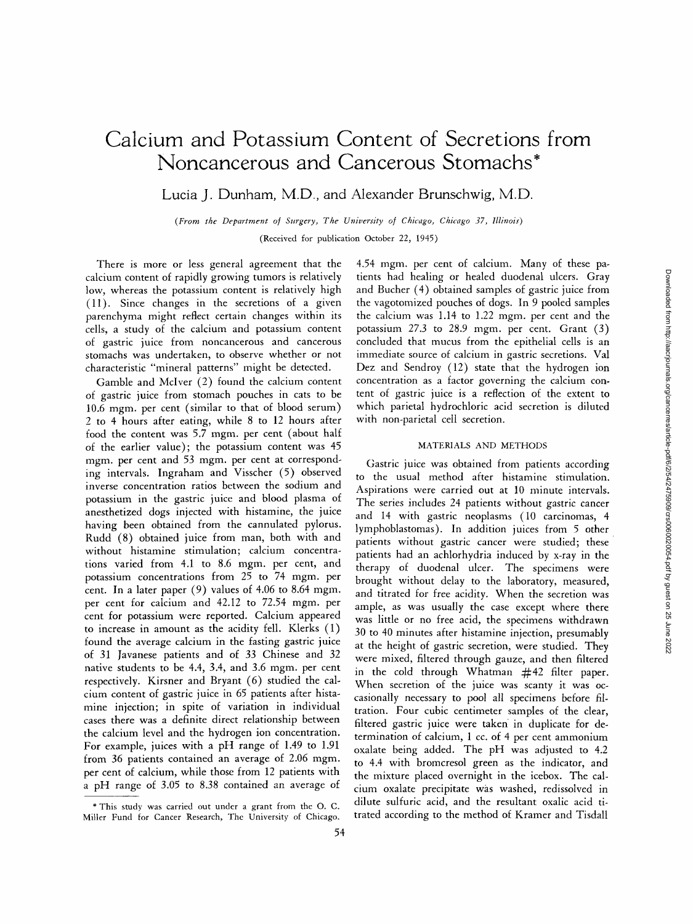# **Calcium and Potassium Content of Secretions from Noncancerous and Cancerous Stomachs\***

Lucia J. Dunham, M.D, and Alexander Brunschwig, M.D.

*(From the Department oJ Sltrgery, The University of Chicago, Chicago 37, Illinois)* 

(Received for publication October 22, 1945)

There is more or less general agreement that the calcium content of rapidly growing tumors is relatively low, whereas the potassium content is relatively high (11). Since changes in the secretions of a given parenchyma might reflect certain changes within its cells, a study of the calcium and potassium content of gastric juice from noncancerous and cancerous stomachs was undertaken, to observe whether or not characteristic "mineral patterns" might be detected.

Gamble and Mclver (2) found the calcium content of gastric juice from stomach pouches in cats to be 10.6 mgm. per cent (similar to that of blood serum) 2 to 4 hours after eating, while 8 to 12 hours after food the content was 5.7 mgm. per cent (about half of the earlier value); the potassium content was 45 mgm. per cent and 53 mgm. per cent at corresponding intervals. Ingraham and Visscher (5) observed inverse concentration ratios between the sodium and potassium in the gastric juice and blood plasma of anesthetized dogs injected with histamine, the juice having been obtained from the cannulated pylorus. Rudd (8) obtained juice from man, both with and without histamine stimulation; calcium concentrations varied from 4.1 to 8.6 mgm. per cent, and potassium concentrations from 25 to 74 mgm. per cent. In a later paper (9) values of 4.06 to 8.64 mgm. per cent for calcium and 42.12 to 72.54 mgm. per cent for potassium were reported. Calcium appeared to increase in amount as the acidity fell. Klerks (1) found the average calcium in the fasting gastric juice of 31 Javanese patients and of 33 Chinese and 32 native students to be 4.4, 3.4, and 3.6 mgm. per cent respectively. Kirsner and Bryant (6) studied the calcium content of gastric juice in 65 patients after histamine injection; in spite of variation in individual cases there was a definite direct relationship between the calcium level and the hydrogen ion concentration. For example, juices with a pH range of 1.49 to 1.91 from 36 patients contained an average of 2.06 mgm. per cent of calcium, while those from 12 patients with a pH range of 3.05 to *8.38* contained an average of

4.54 mgm. per cent of calcium. Many of these patients had healing or healed duodenal ulcers. Gray and Bucher (4) obtained samples of gastric juice from the vagotomized pouches of dogs. In 9 pooled samples the calcium was 1.14 to 1.22 mgm. per cent and the potassium 27.3 to 28.9 mgm. per cent. Grant (3) concluded that mucus from the epithelial cells is an immediate source of calcium in gastric secretions. Val Dez and Sendroy (12) state that the hydrogen ion concentration as a factor governing the calcium content of gastric juice is a reflection of the extent to which parietal hydrochloric acid secretion is diluted with non-parietal ceil secretion.

# MATERIALS AND METHODS

Gastric juice was obtained from patients according to the usual method after histamine stimulation. Aspirations were carried out at 10 minute intervals. The series includes 24 patients without gastric cancer and 14 with gastric neoplasms (10 carcinomas, 4 lymphoblastomas). In addition juices from 5 other patients without gastric cancer were studied; these patients had an achlorhydria induced by x-ray in the therapy of duodenal ulcer. The specimens were brought without delay to the laboratory, measured, and titrated for free acidity. When the secretion was ample, as was usually the case except where there was little or no free acid, the specimens withdrawn 30 to 40 minutes after histamine injection, presumably at the height of gastric secretion, were studied. They were mixed, filtered through gauze, and then filtered in the cold through Whatman #42 filter paper. When secretion of the juice was scanty it was occasionally necessary to pool all specimens before filtration. Four cubic centimeter samples of the clear, filtered gastric juice were taken in duplicate for determination of calcium, 1 cc. of 4 per cent ammonium oxalate being added. The pH was adjusted to 4.2 to 4.4 with bromcresol green as the indicator, and the mixture placed overnight in the icebox. The calcium oxalate precipitate was washed, redissolved in dilute sulfuric acid, and the resultant oxalic acid titrated according to the method of Kramer and Tisdall

<sup>\*</sup>This study was carried out under a grant from the O. C. Miller Fund for Cancer Research, The University of Chicago.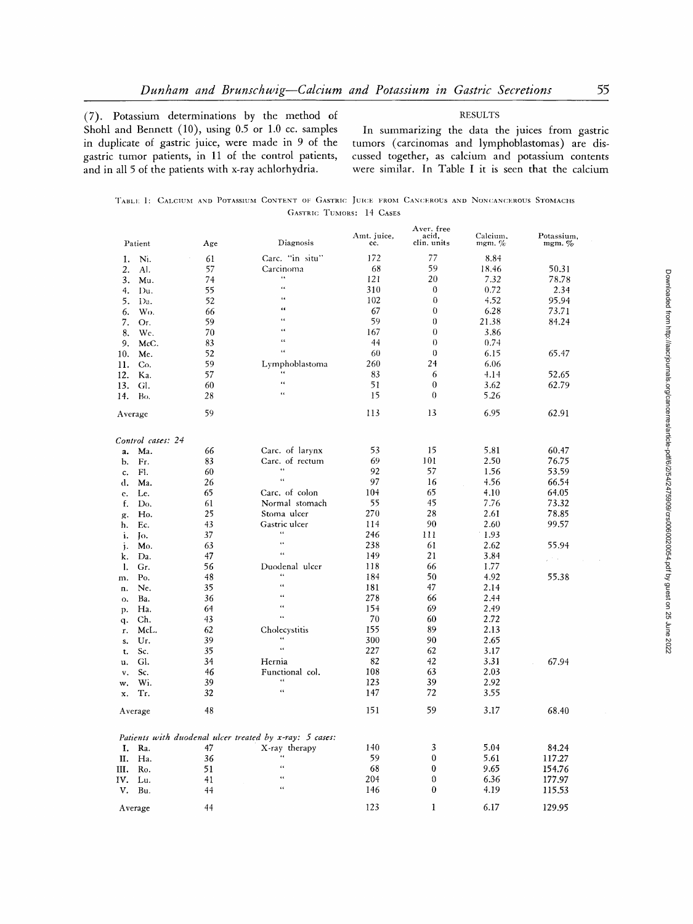(7). Potassium determinations by the method of Shohl and Bennett (10), using 0.5 or 1.0 cc. samples in duplicate of gastric juice, were made in 9 of the gastric tumor patients, in 11 of the control patients, and in all 5 of the patients with x-ray achlorhydria.

In summarizing the data the juices from gastric tumors (carcinomas and lymphoblastomas) are discussed together, as calcium and potassium contents were similar. In Table I it is seen that the calcium

**RESULTS** 

|                          |  |  |  |  |  |  |  |  |  |  | TABLE 1: CALCIUM AND POTASSIUM CONTENT OF GASTRIC JUICE FROM CANCEROUS AND NONCANCEROUS STOMACHS |  |
|--------------------------|--|--|--|--|--|--|--|--|--|--|--------------------------------------------------------------------------------------------------|--|
| GASTRIC TUMORS: 14 CASES |  |  |  |  |  |  |  |  |  |  |                                                                                                  |  |

|                |                   |     | Diagnosis                                               | Amt. juice, | Aver. tree<br>acid, | Calcium, | Potassium, |
|----------------|-------------------|-----|---------------------------------------------------------|-------------|---------------------|----------|------------|
|                | Patient           | Age |                                                         | cc.         | clin. units         | mgm. $%$ | mgm. %     |
| 1.             | Ni.               | 61  | Carc. "in situ"                                         | 172         | 77                  | 8.84     |            |
| 2.             | Al.               | 57  | Carcinoma                                               | 68          | 59                  | 18.46    | 50.31      |
| 3.             | Mu.               | 74  | $\epsilon$ $\epsilon$<br>$\epsilon$                     | 121         | 20                  | 7.32     | 78.78      |
| 4.             | Du.               | 55  | $\epsilon$                                              | 310         | $\bf{0}$            | 0.72     | 2.34       |
| 5.             | Da.               | 52  |                                                         | 102         | $\bf{0}$            | 4.52     | 95.94      |
| 6.             | Wo.               | 66  | $\epsilon$                                              | 67          | 0                   | 6.28     | 73.71      |
| 7.             | Or.               | 59  | $\ddot{\phantom{a}}$                                    | 59          | $\theta$            | 21.38    | 84.24      |
| 8.             | Wc.               | 70  | $\alpha$                                                | 167         | $\theta$            | 3.86     |            |
| 9.             | McC.              | 83  | $\epsilon$                                              | 44          | $\theta$            | 0.74     |            |
| 10.            | Mc.               | 52  | ç.                                                      | 60          | $\theta$            | 6.15     | 65.47      |
| 11.            | Co.               | 59  | Lymphoblastoma                                          | 260         | 24                  | 6.06     |            |
| 12.            | Ka.               | 57  | $\epsilon$ $\epsilon$                                   | 83          | 6                   | 4.14     | 52.65      |
| 13.            | Gl.               | 60  | œ                                                       | 51          | $\bf{0}$            | 3.62     | 62.79      |
| 14.            | Bo.               | 28  | $\ddot{\phantom{a}}$                                    | 15          | $\theta$            | 5.26     |            |
| Average        |                   | 59  |                                                         | 113         | 13                  | 6.95     | 62.91      |
|                | Control cases: 24 |     |                                                         |             |                     |          |            |
| a.             | Ma.               | 66  | Carc. of larynx                                         | 53          | 15                  | 5.81     | 60.47      |
| b.             | Fr.               | 83  | Carc. of rectum                                         | 69          | 101                 | 2.50     | 76.75      |
| c.             | Fl.               | 60  | $\epsilon$                                              | 92          | 57                  | 1.56     | 53.59      |
| d.             | Ma.               | 26  | $\bar{\alpha}$                                          | 97          | 16                  | 4.56     | 66.54      |
| e.             | Le.               | 65  | Carc. of colon                                          | 104         | 65                  | 4.10     | 64.05      |
| f.             | Do.               | 61  | Normal stomach                                          | 55          | 45                  | 7.76     | 73.32      |
| g.             | Ho.               | 25  | Stoma ulcer                                             | 270         | 28                  | 2.61     | 78.85      |
| h.             | Ec.               | 43  | Gastric ulcer                                           | 114         | 90                  | 2.60     | 99.57      |
|                |                   | 37  | $\ddot{\phantom{0}}$                                    | 246         | 111                 | 1.93     |            |
| i.             | Iо.<br>Mo.        | 63  | $\bar{\epsilon}$                                        | 238         | 61                  | 2.62     | 55.94      |
| j.             | Da.               | 47  | $\alpha$                                                | 149         | 21                  | 3.84     |            |
| k.             | Gr.               | 56  | Duodenal ulcer                                          | 118         | 66                  | 1.77     | t is       |
| 1.             |                   | 48  | $\epsilon$ $\epsilon$                                   | 184         | 50                  | 4.92     | 55.38      |
| m.             | Po,               | 35  | $\epsilon$                                              |             | 47                  |          |            |
| n.             | Ne.               |     | $\epsilon$                                              | 181         |                     | 2.14     |            |
| 0.             | Ba.               | 36  | $\epsilon$                                              | 278         | 66                  | 2.44     |            |
| p.             | Ha.               | 64  | $\epsilon$ $\epsilon$                                   | 154         | 69                  | 2.49     |            |
| q.             | Ch.               | 43  |                                                         | 70          | 60                  | 2.72     |            |
| r.             | McL.              | 62  | Cholecystitis<br>$\epsilon$ $\epsilon$                  | 155         | 89                  | 2.13     |            |
| s.             | Ur.               | 39  | $\bar{\mathbf{G}}$                                      | 300         | 90                  | 2.65     |            |
| t.             | Sc.               | 35  |                                                         | 227         | 62                  | 3.17     |            |
| u.             | Gl.               | 34  | Hernia                                                  | 82          | 42                  | 3.31     | 67.94      |
| $\mathbf{v}$ . | Sc.               | 46  | Functional col.                                         | 108         | 63                  | 2.03     |            |
| w.             | Wi.               | 39  | $\epsilon$                                              | 123         | 39                  | 2.92     |            |
| х.             | Tr.               | 32  | $\epsilon$                                              | 147         | 72                  | 3.55     |            |
|                | Average           | 48  |                                                         | 151         | 59                  | 3.17     | 68.40      |
|                |                   |     | Patients with duodenal ulcer treated by x-ray: 5 cases: |             |                     |          |            |
| I.             | Ra.               | 47  | X-ray therapy                                           | 140         | 3                   | 5.04     | 84.24      |
| П.             | Ha.               | 36  | $\epsilon$ $\zeta$                                      | 59          | 0                   | 5.61     | 117.27     |
| Ш.             | Ro.               | 51  | $\epsilon$ $\epsilon$                                   | 68          | $\bf{0}$            | 9.65     | 154.76     |
| IV.            | Lu.               | 41  | $\epsilon$ $\epsilon$                                   | 204         | 0                   | 6.36     | 177.97     |
| v.             | Bu.               | 44  | $\epsilon$                                              | 146         | 0                   | 4.19     | 115.53     |
|                | Average           | 44  |                                                         | 123         | 1                   | 6.17     | 129.95     |